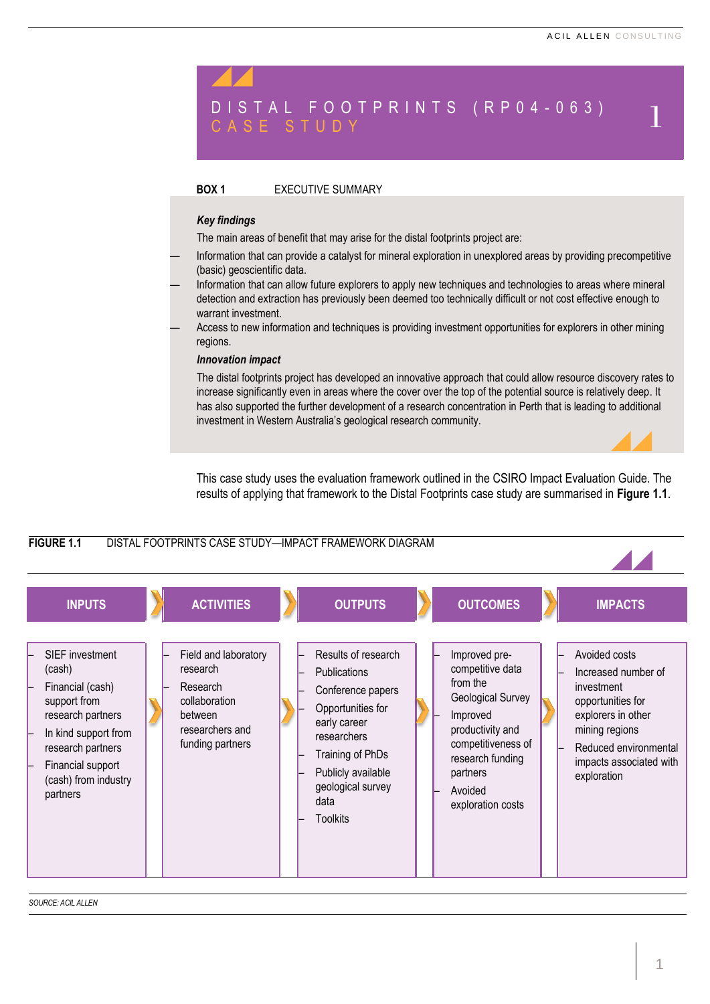# D I S T A L FO O T P R I N T S (R P 0 4 - 0 6 3 )  $_{\rm C \,A \,S \,E}$  S T U D Y

# **BOX 1** EXECUTIVE SUMMARY

# *Key findings*

The main areas of benefit that may arise for the distal footprints project are:

- Information that can provide a catalyst for mineral exploration in unexplored areas by providing precompetitive (basic) geoscientific data.
- Information that can allow future explorers to apply new techniques and technologies to areas where mineral detection and extraction has previously been deemed too technically difficult or not cost effective enough to warrant investment.
- Access to new information and techniques is providing investment opportunities for explorers in other mining regions.

### *Innovation impact*

The distal footprints project has developed an innovative approach that could allow resource discovery rates to increase significantly even in areas where the cover over the top of the potential source is relatively deep. It has also supported the further development of a research concentration in Perth that is leading to additional investment in Western Australia's geological research community.

This case study uses the evaluation framework outlined in the CSIRO Impact Evaluation Guide. The results of applying that framework to the Distal Footprints case study are summarised in **[Figure](#page-0-0) 1.1**.

<span id="page-0-0"></span>

*SOURCE: ACIL ALLEN*

1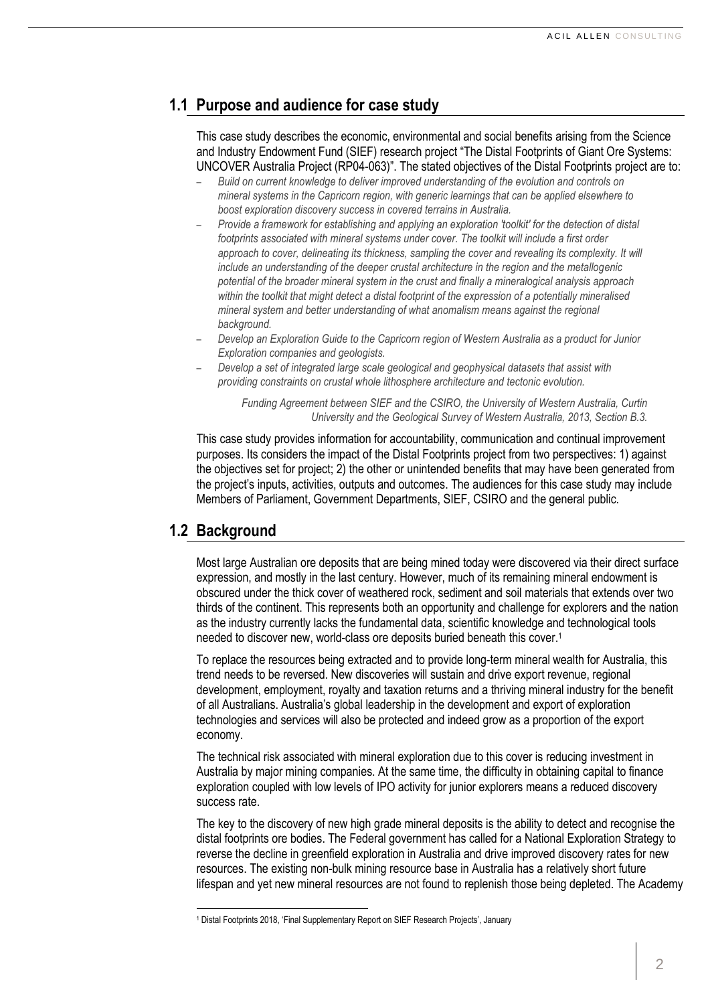# **1.1 Purpose and audience for case study**

This case study describes the economic, environmental and social benefits arising from the Science and Industry Endowment Fund (SIEF) research project "The Distal Footprints of Giant Ore Systems: UNCOVER Australia Project (RP04-063)". The stated objectives of the Distal Footprints project are to:

- *Build on current knowledge to deliver improved understanding of the evolution and controls on mineral systems in the Capricorn region, with generic learnings that can be applied elsewhere to boost exploration discovery success in covered terrains in Australia.*
- *Provide a framework for establishing and applying an exploration 'toolkit' for the detection of distal footprints associated with mineral systems under cover. The toolkit will include a first order approach to cover, delineating its thickness, sampling the cover and revealing its complexity. It will include an understanding of the deeper crustal architecture in the region and the metallogenic potential of the broader mineral system in the crust and finally a mineralogical analysis approach within the toolkit that might detect a distal footprint of the expression of a potentially mineralised mineral system and better understanding of what anomalism means against the regional background.*
- *Develop an Exploration Guide to the Capricorn region of Western Australia as a product for Junior Exploration companies and geologists.*
- *Develop a set of integrated large scale geological and geophysical datasets that assist with providing constraints on crustal whole lithosphere architecture and tectonic evolution.*

*Funding Agreement between SIEF and the CSIRO, the University of Western Australia, Curtin University and the Geological Survey of Western Australia, 2013, Section B.3.*

This case study provides information for accountability, communication and continual improvement purposes. Its considers the impact of the Distal Footprints project from two perspectives: 1) against the objectives set for project; 2) the other or unintended benefits that may have been generated from the project's inputs, activities, outputs and outcomes. The audiences for this case study may include Members of Parliament, Government Departments, SIEF, CSIRO and the general public.

# **1.2 Background**

 $\overline{\phantom{0}}$ 

Most large Australian ore deposits that are being mined today were discovered via their direct surface expression, and mostly in the last century. However, much of its remaining mineral endowment is obscured under the thick cover of weathered rock, sediment and soil materials that extends over two thirds of the continent. This represents both an opportunity and challenge for explorers and the nation as the industry currently lacks the fundamental data, scientific knowledge and technological tools needed to discover new, world-class ore deposits buried beneath this cover.<sup>1</sup>

To replace the resources being extracted and to provide long-term mineral wealth for Australia, this trend needs to be reversed. New discoveries will sustain and drive export revenue, regional development, employment, royalty and taxation returns and a thriving mineral industry for the benefit of all Australians. Australia's global leadership in the development and export of exploration technologies and services will also be protected and indeed grow as a proportion of the export economy.

The technical risk associated with mineral exploration due to this cover is reducing investment in Australia by major mining companies. At the same time, the difficulty in obtaining capital to finance exploration coupled with low levels of IPO activity for junior explorers means a reduced discovery success rate.

The key to the discovery of new high grade mineral deposits is the ability to detect and recognise the distal footprints ore bodies. The Federal government has called for a National Exploration Strategy to reverse the decline in greenfield exploration in Australia and drive improved discovery rates for new resources. The existing non-bulk mining resource base in Australia has a relatively short future lifespan and yet new mineral resources are not found to replenish those being depleted. The Academy

<sup>1</sup> Distal Footprints 2018, 'Final Supplementary Report on SIEF Research Projects', January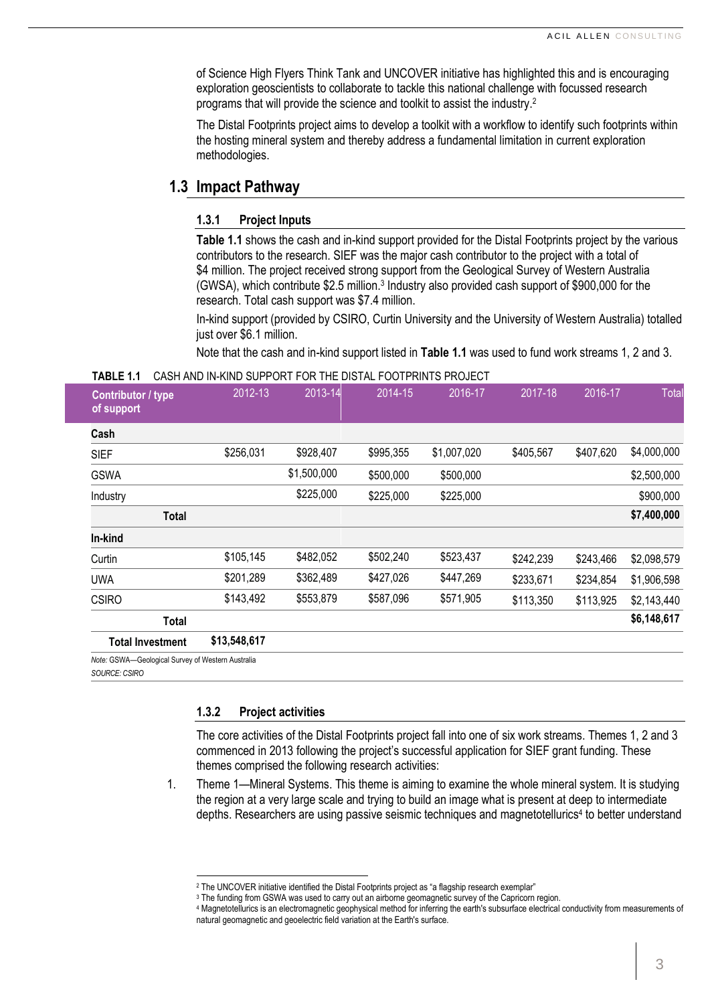of Science High Flyers Think Tank and UNCOVER initiative has highlighted this and is encouraging exploration geoscientists to collaborate to tackle this national challenge with focussed research programs that will provide the science and toolkit to assist the industry.<sup>2</sup>

The Distal Footprints project aims to develop a toolkit with a workflow to identify such footprints within the hosting mineral system and thereby address a fundamental limitation in current exploration methodologies.

# **1.3 Impact Pathway**

# **1.3.1 Project Inputs**

**[Table](#page-2-0) 1.1** shows the cash and in-kind support provided for the Distal Footprints project by the various contributors to the research. SIEF was the major cash contributor to the project with a total of \$4 million. The project received strong support from the Geological Survey of Western Australia (GWSA), which contribute \$2.5 million.<sup>3</sup> Industry also provided cash support of \$900,000 for the research. Total cash support was \$7.4 million.

In-kind support (provided by CSIRO, Curtin University and the University of Western Australia) totalled just over \$6.1 million.

Note that the cash and in-kind support listed in **[Table](#page-2-0) 1.1** was used to fund work streams 1, 2 and 3.

#### <span id="page-2-0"></span>**TABLE 1.1** CASH AND IN-KIND SUPPORT FOR THE DISTAL FOOTPRINTS PROJECT

| Contributor / type<br>of support                  | 2012-13      | 2013-14     | 2014-15   | 2016-17     | $2017 - 18$ | 2016-17   | Total       |
|---------------------------------------------------|--------------|-------------|-----------|-------------|-------------|-----------|-------------|
| Cash                                              |              |             |           |             |             |           |             |
| <b>SIEF</b>                                       | \$256,031    | \$928,407   | \$995,355 | \$1,007,020 | \$405,567   | \$407,620 | \$4,000,000 |
| <b>GSWA</b>                                       |              | \$1,500,000 | \$500,000 | \$500,000   |             |           | \$2,500,000 |
| Industry                                          |              | \$225,000   | \$225,000 | \$225,000   |             |           | \$900,000   |
| Total                                             |              |             |           |             |             |           | \$7,400,000 |
| In-kind                                           |              |             |           |             |             |           |             |
| Curtin                                            | \$105,145    | \$482,052   | \$502,240 | \$523,437   | \$242,239   | \$243,466 | \$2,098,579 |
| <b>UWA</b>                                        | \$201,289    | \$362,489   | \$427,026 | \$447,269   | \$233,671   | \$234,854 | \$1,906,598 |
| <b>CSIRO</b>                                      | \$143,492    | \$553,879   | \$587,096 | \$571,905   | \$113,350   | \$113,925 | \$2,143,440 |
| Total                                             |              |             |           |             |             |           | \$6,148,617 |
| <b>Total Investment</b>                           | \$13,548,617 |             |           |             |             |           |             |
| Note: GSWA-Geological Survey of Western Australia |              |             |           |             |             |           |             |

*SOURCE: CSIRO*

# **1.3.2 Project activities**

l

The core activities of the Distal Footprints project fall into one of six work streams. Themes 1, 2 and 3 commenced in 2013 following the project's successful application for SIEF grant funding. These themes comprised the following research activities:

1. Theme 1—Mineral Systems. This theme is aiming to examine the whole mineral system. It is studying the region at a very large scale and trying to build an image what is present at deep to intermediate depths. Researchers are using passive seismic techniques and magnetotellurics<sup>4</sup> to better understand

<sup>&</sup>lt;sup>2</sup> The UNCOVER initiative identified the Distal Footprints project as "a flagship research exemplar"

<sup>&</sup>lt;sup>3</sup> The funding from GSWA was used to carry out an airborne geomagnetic survey of the Capricorn region.

<sup>4</sup> Magnetotellurics is an electromagnetic geophysical method for inferring the earth's subsurface electrical conductivity from measurements of natural geomagnetic and geoelectric field variation at the Earth's surface.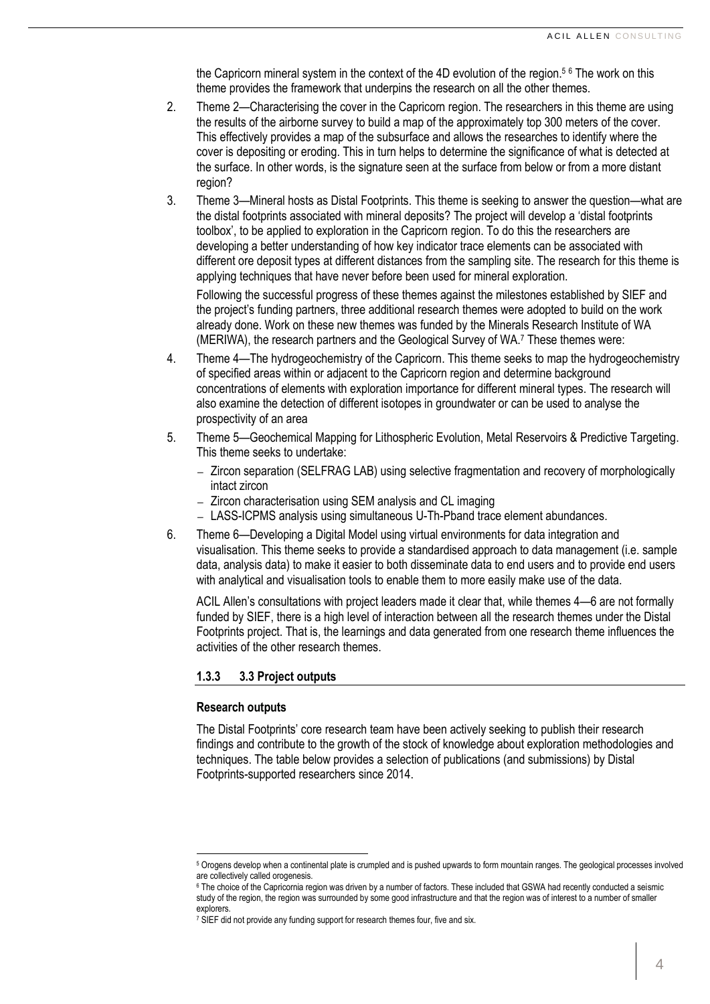the Capricorn mineral system in the context of the 4D evolution of the region.<sup>5</sup> <sup>6</sup> The work on this theme provides the framework that underpins the research on all the other themes.

- 2. Theme 2—Characterising the cover in the Capricorn region. The researchers in this theme are using the results of the airborne survey to build a map of the approximately top 300 meters of the cover. This effectively provides a map of the subsurface and allows the researches to identify where the cover is depositing or eroding. This in turn helps to determine the significance of what is detected at the surface. In other words, is the signature seen at the surface from below or from a more distant region?
- 3. Theme 3—Mineral hosts as Distal Footprints. This theme is seeking to answer the question—what are the distal footprints associated with mineral deposits? The project will develop a 'distal footprints toolbox', to be applied to exploration in the Capricorn region. To do this the researchers are developing a better understanding of how key indicator trace elements can be associated with different ore deposit types at different distances from the sampling site. The research for this theme is applying techniques that have never before been used for mineral exploration.

Following the successful progress of these themes against the milestones established by SIEF and the project's funding partners, three additional research themes were adopted to build on the work already done. Work on these new themes was funded by the Minerals Research Institute of WA (MERIWA), the research partners and the Geological Survey of WA.<sup>7</sup> These themes were:

- 4. Theme 4—The hydrogeochemistry of the Capricorn. This theme seeks to map the hydrogeochemistry of specified areas within or adjacent to the Capricorn region and determine background concentrations of elements with exploration importance for different mineral types. The research will also examine the detection of different isotopes in groundwater or can be used to analyse the prospectivity of an area
- 5. Theme 5—Geochemical Mapping for Lithospheric Evolution, Metal Reservoirs & Predictive Targeting. This theme seeks to undertake:
	- ― Zircon separation (SELFRAG LAB) using selective fragmentation and recovery of morphologically intact zircon
	- ― Zircon characterisation using SEM analysis and CL imaging
	- ― LASS-ICPMS analysis using simultaneous U-Th-Pband trace element abundances.
- 6. Theme 6—Developing a Digital Model using virtual environments for data integration and visualisation. This theme seeks to provide a standardised approach to data management (i.e. sample data, analysis data) to make it easier to both disseminate data to end users and to provide end users with analytical and visualisation tools to enable them to more easily make use of the data.

ACIL Allen's consultations with project leaders made it clear that, while themes 4—6 are not formally funded by SIEF, there is a high level of interaction between all the research themes under the Distal Footprints project. That is, the learnings and data generated from one research theme influences the activities of the other research themes.

# **1.3.3 3.3 Project outputs**

# **Research outputs**

The Distal Footprints' core research team have been actively seeking to publish their research findings and contribute to the growth of the stock of knowledge about exploration methodologies and techniques. The table below provides a selection of publications (and submissions) by Distal Footprints-supported researchers since 2014.

l <sup>5</sup> Orogens develop when a continental plate is crumpled and is pushed upwards to form mountain ranges. The geological processes involved are collectively called orogenesis.

<sup>&</sup>lt;sup>6</sup> The choice of the Capricornia region was driven by a number of factors. These included that GSWA had recently conducted a seismic study of the region, the region was surrounded by some good infrastructure and that the region was of interest to a number of smaller explorers.

<sup>&</sup>lt;sup>7</sup> SIEF did not provide any funding support for research themes four, five and six.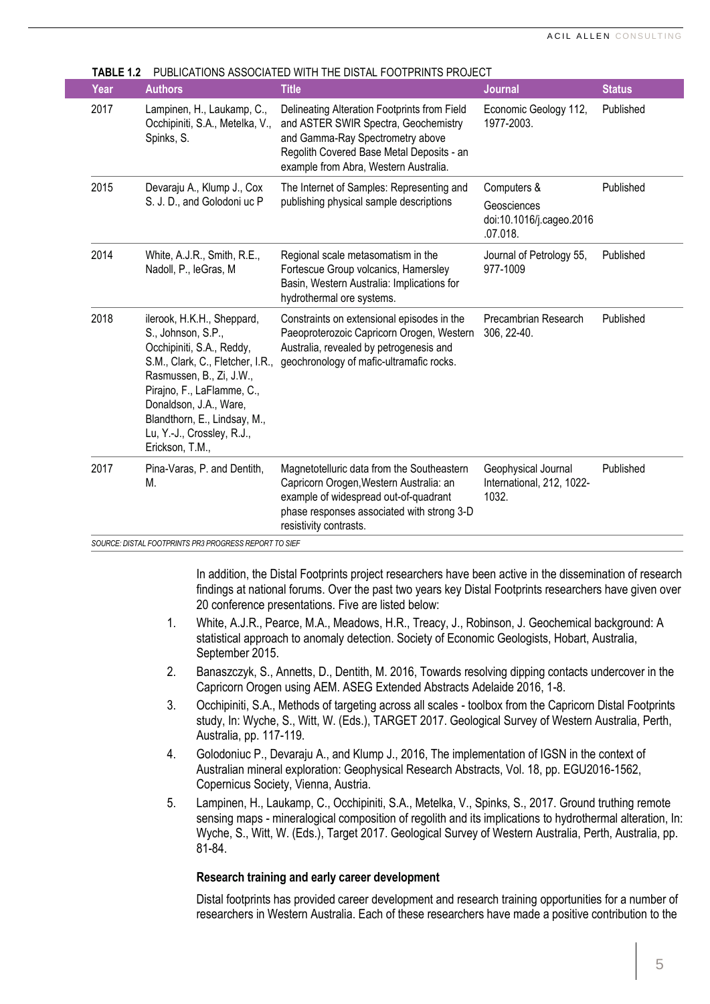| Year | <b>Authors</b>                                                                                                                                                                                                                                                                         | <b>Title</b>                                                                                                                                                                                                   | <b>Journal</b>                                                     | <b>Status</b> |
|------|----------------------------------------------------------------------------------------------------------------------------------------------------------------------------------------------------------------------------------------------------------------------------------------|----------------------------------------------------------------------------------------------------------------------------------------------------------------------------------------------------------------|--------------------------------------------------------------------|---------------|
| 2017 | Lampinen, H., Laukamp, C.,<br>Occhipiniti, S.A., Metelka, V.,<br>Spinks, S.                                                                                                                                                                                                            | Delineating Alteration Footprints from Field<br>and ASTER SWIR Spectra, Geochemistry<br>and Gamma-Ray Spectrometry above<br>Regolith Covered Base Metal Deposits - an<br>example from Abra, Western Australia. | Economic Geology 112,<br>1977-2003.                                | Published     |
| 2015 | Devaraju A., Klump J., Cox<br>S. J. D., and Golodoni uc P                                                                                                                                                                                                                              | The Internet of Samples: Representing and<br>publishing physical sample descriptions                                                                                                                           | Computers &<br>Geosciences<br>doi:10.1016/j.cageo.2016<br>.07.018. | Published     |
| 2014 | White, A.J.R., Smith, R.E.,<br>Nadoll, P., leGras, M.                                                                                                                                                                                                                                  | Regional scale metasomatism in the<br>Fortescue Group volcanics, Hamersley<br>Basin, Western Australia: Implications for<br>hydrothermal ore systems.                                                          | Journal of Petrology 55,<br>977-1009                               | Published     |
| 2018 | ilerook, H.K.H., Sheppard,<br>S., Johnson, S.P.,<br>Occhipiniti, S.A., Reddy,<br>S.M., Clark, C., Fletcher, I.R.,<br>Rasmussen, B., Zi, J.W.,<br>Pirajno, F., LaFlamme, C.,<br>Donaldson, J.A., Ware,<br>Blandthorn, E., Lindsay, M.,<br>Lu, Y.-J., Crossley, R.J.,<br>Erickson, T.M., | Constraints on extensional episodes in the<br>Paeoproterozoic Capricorn Orogen, Western<br>Australia, revealed by petrogenesis and<br>geochronology of mafic-ultramafic rocks.                                 | Precambrian Research<br>306, 22-40.                                | Published     |
| 2017 | Pina-Varas, P. and Dentith,<br>М.                                                                                                                                                                                                                                                      | Magnetotelluric data from the Southeastern<br>Capricorn Orogen, Western Australia: an<br>example of widespread out-of-quadrant<br>phase responses associated with strong 3-D<br>resistivity contrasts.         | Geophysical Journal<br>International, 212, 1022-<br>1032.          | Published     |

**TABLE 1.2** PUBLICATIONS ASSOCIATED WITH THE DISTAL FOOTPRINTS PROJECT

*SOURCE: DISTAL FOOTPRINTS PR3 PROGRESS REPORT TO SIEF*

In addition, the Distal Footprints project researchers have been active in the dissemination of research findings at national forums. Over the past two years key Distal Footprints researchers have given over 20 conference presentations. Five are listed below:

- 1. White, A.J.R., Pearce, M.A., Meadows, H.R., Treacy, J., Robinson, J. Geochemical background: A statistical approach to anomaly detection. Society of Economic Geologists, Hobart, Australia, September 2015.
- 2. Banaszczyk, S., Annetts, D., Dentith, M. 2016, Towards resolving dipping contacts undercover in the Capricorn Orogen using AEM. ASEG Extended Abstracts Adelaide 2016, 1-8.
- 3. Occhipiniti, S.A., Methods of targeting across all scales toolbox from the Capricorn Distal Footprints study, In: Wyche, S., Witt, W. (Eds.), TARGET 2017. Geological Survey of Western Australia, Perth, Australia, pp. 117-119.
- 4. Golodoniuc P., Devaraju A., and Klump J., 2016, The implementation of IGSN in the context of Australian mineral exploration: Geophysical Research Abstracts, Vol. 18, pp. EGU2016-1562, Copernicus Society, Vienna, Austria.
- 5. Lampinen, H., Laukamp, C., Occhipiniti, S.A., Metelka, V., Spinks, S., 2017. Ground truthing remote sensing maps - mineralogical composition of regolith and its implications to hydrothermal alteration, In: Wyche, S., Witt, W. (Eds.), Target 2017. Geological Survey of Western Australia, Perth, Australia, pp. 81-84.

# **Research training and early career development**

Distal footprints has provided career development and research training opportunities for a number of researchers in Western Australia. Each of these researchers have made a positive contribution to the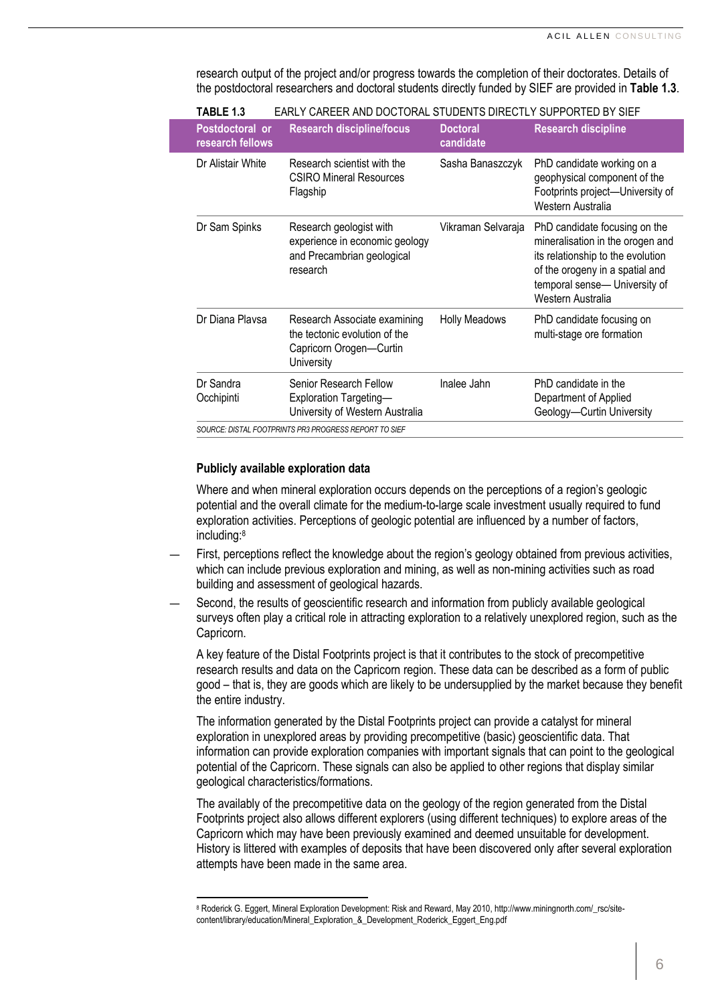research output of the project and/or progress towards the completion of their doctorates. Details of the postdoctoral researchers and doctoral students directly funded by SIEF are provided in **[Table](#page-5-0) 1.3**.

| <b>Research discipline/focus</b>                                                                       | <b>Doctoral</b><br>candidate | <b>Research discipline</b>                                                                                                                                                                      |  |
|--------------------------------------------------------------------------------------------------------|------------------------------|-------------------------------------------------------------------------------------------------------------------------------------------------------------------------------------------------|--|
| Research scientist with the<br><b>CSIRO Mineral Resources</b><br>Flagship                              | Sasha Banaszczyk             | PhD candidate working on a<br>geophysical component of the<br>Footprints project-University of<br>Western Australia                                                                             |  |
| Research geologist with<br>experience in economic geology<br>and Precambrian geological<br>research    | Vikraman Selvaraja           | PhD candidate focusing on the<br>mineralisation in the orogen and<br>its relationship to the evolution<br>of the orogeny in a spatial and<br>temporal sense- University of<br>Western Australia |  |
| Research Associate examining<br>the tectonic evolution of the<br>Capricorn Orogen-Curtin<br>University | <b>Holly Meadows</b>         | PhD candidate focusing on<br>multi-stage ore formation                                                                                                                                          |  |
| Senior Research Fellow<br><b>Exploration Targeting-</b><br>University of Western Australia             | Inalee Jahn                  | PhD candidate in the<br>Department of Applied<br>Geology-Curtin University                                                                                                                      |  |
|                                                                                                        |                              |                                                                                                                                                                                                 |  |

<span id="page-5-0"></span>**TABLE 1.3** EARLY CAREER AND DOCTORAL STUDENTS DIRECTLY SUPPORTED BY SIEF

#### **Publicly available exploration data**

l

Where and when mineral exploration occurs depends on the perceptions of a region's geologic potential and the overall climate for the medium-to-large scale investment usually required to fund exploration activities. Perceptions of geologic potential are influenced by a number of factors, including:<sup>8</sup>

- First, perceptions reflect the knowledge about the region's geology obtained from previous activities, which can include previous exploration and mining, as well as non-mining activities such as road building and assessment of geological hazards.
- Second, the results of geoscientific research and information from publicly available geological surveys often play a critical role in attracting exploration to a relatively unexplored region, such as the Capricorn.

A key feature of the Distal Footprints project is that it contributes to the stock of precompetitive research results and data on the Capricorn region. These data can be described as a form of public good – that is, they are goods which are likely to be undersupplied by the market because they benefit the entire industry.

The information generated by the Distal Footprints project can provide a catalyst for mineral exploration in unexplored areas by providing precompetitive (basic) geoscientific data. That information can provide exploration companies with important signals that can point to the geological potential of the Capricorn. These signals can also be applied to other regions that display similar geological characteristics/formations.

The availably of the precompetitive data on the geology of the region generated from the Distal Footprints project also allows different explorers (using different techniques) to explore areas of the Capricorn which may have been previously examined and deemed unsuitable for development. History is littered with examples of deposits that have been discovered only after several exploration attempts have been made in the same area.

<sup>&</sup>lt;sup>8</sup> Roderick G. Eggert, Mineral Exploration Development: Risk and Reward, May 2010, http://www.miningnorth.com/\_rsc/sitecontent/library/education/Mineral\_Exploration\_&\_Development\_Roderick\_Eggert\_Eng.pdf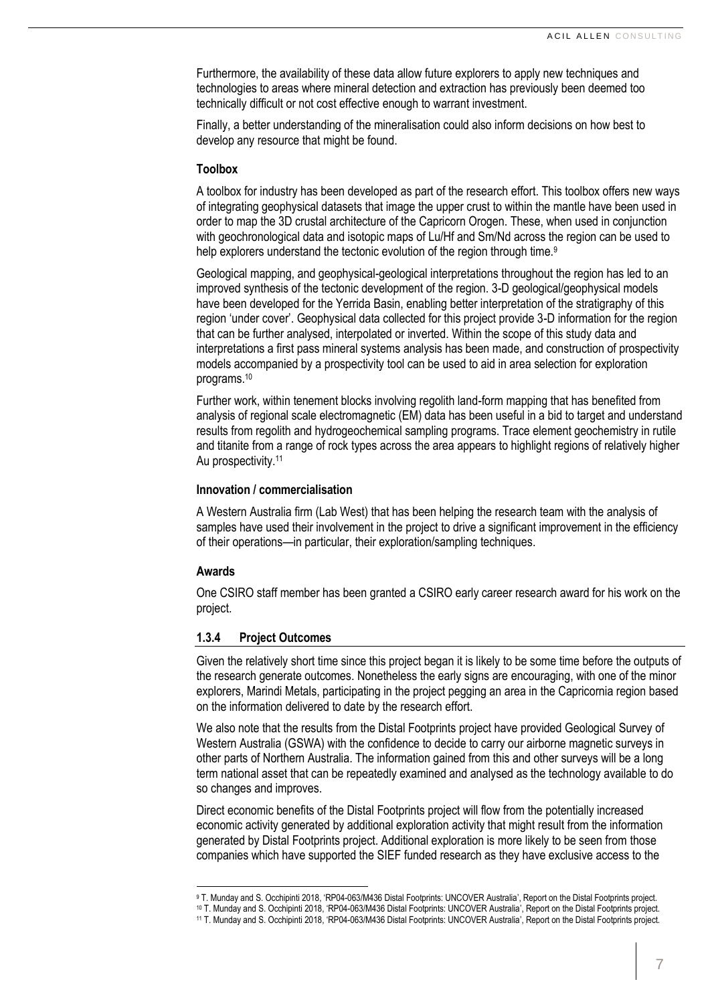Furthermore, the availability of these data allow future explorers to apply new techniques and technologies to areas where mineral detection and extraction has previously been deemed too technically difficult or not cost effective enough to warrant investment.

Finally, a better understanding of the mineralisation could also inform decisions on how best to develop any resource that might be found.

#### **Toolbox**

A toolbox for industry has been developed as part of the research effort. This toolbox offers new ways of integrating geophysical datasets that image the upper crust to within the mantle have been used in order to map the 3D crustal architecture of the Capricorn Orogen. These, when used in conjunction with geochronological data and isotopic maps of Lu/Hf and Sm/Nd across the region can be used to help explorers understand the tectonic evolution of the region through time.<sup>9</sup>

Geological mapping, and geophysical-geological interpretations throughout the region has led to an improved synthesis of the tectonic development of the region. 3-D geological/geophysical models have been developed for the Yerrida Basin, enabling better interpretation of the stratigraphy of this region 'under cover'. Geophysical data collected for this project provide 3-D information for the region that can be further analysed, interpolated or inverted. Within the scope of this study data and interpretations a first pass mineral systems analysis has been made, and construction of prospectivity models accompanied by a prospectivity tool can be used to aid in area selection for exploration programs.<sup>10</sup>

Further work, within tenement blocks involving regolith land-form mapping that has benefited from analysis of regional scale electromagnetic (EM) data has been useful in a bid to target and understand results from regolith and hydrogeochemical sampling programs. Trace element geochemistry in rutile and titanite from a range of rock types across the area appears to highlight regions of relatively higher Au prospectivity.<sup>11</sup>

# **Innovation / commercialisation**

A Western Australia firm (Lab West) that has been helping the research team with the analysis of samples have used their involvement in the project to drive a significant improvement in the efficiency of their operations—in particular, their exploration/sampling techniques.

# **Awards**

 $\overline{\phantom{0}}$ 

One CSIRO staff member has been granted a CSIRO early career research award for his work on the project.

# **1.3.4 Project Outcomes**

Given the relatively short time since this project began it is likely to be some time before the outputs of the research generate outcomes. Nonetheless the early signs are encouraging, with one of the minor explorers, Marindi Metals, participating in the project pegging an area in the Capricornia region based on the information delivered to date by the research effort.

We also note that the results from the Distal Footprints project have provided Geological Survey of Western Australia (GSWA) with the confidence to decide to carry our airborne magnetic surveys in other parts of Northern Australia. The information gained from this and other surveys will be a long term national asset that can be repeatedly examined and analysed as the technology available to do so changes and improves.

Direct economic benefits of the Distal Footprints project will flow from the potentially increased economic activity generated by additional exploration activity that might result from the information generated by Distal Footprints project. Additional exploration is more likely to be seen from those companies which have supported the SIEF funded research as they have exclusive access to the

<sup>9</sup> T. Munday and S. Occhipinti 2018, 'RP04-063/M436 Distal Footprints: UNCOVER Australia', Report on the Distal Footprints project.

<sup>10</sup> T. Munday and S. Occhipinti 2018, 'RP04-063/M436 Distal Footprints: UNCOVER Australia', Report on the Distal Footprints project.

<sup>11</sup> T. Munday and S. Occhipinti 2018, 'RP04-063/M436 Distal Footprints: UNCOVER Australia', Report on the Distal Footprints project.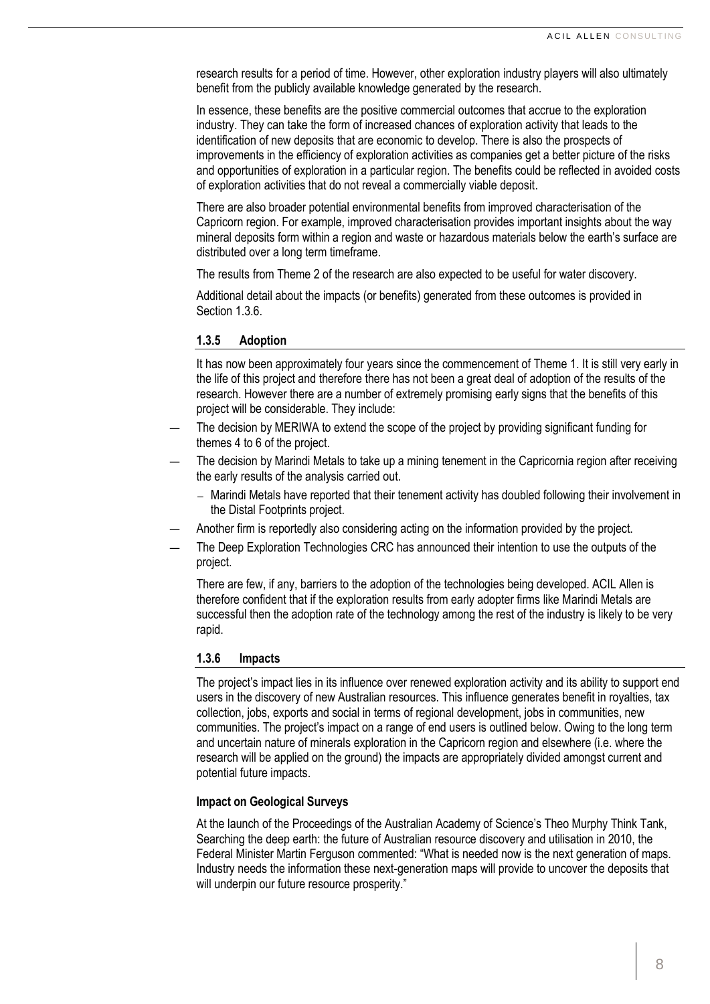research results for a period of time. However, other exploration industry players will also ultimately benefit from the publicly available knowledge generated by the research.

In essence, these benefits are the positive commercial outcomes that accrue to the exploration industry. They can take the form of increased chances of exploration activity that leads to the identification of new deposits that are economic to develop. There is also the prospects of improvements in the efficiency of exploration activities as companies get a better picture of the risks and opportunities of exploration in a particular region. The benefits could be reflected in avoided costs of exploration activities that do not reveal a commercially viable deposit.

There are also broader potential environmental benefits from improved characterisation of the Capricorn region. For example, improved characterisation provides important insights about the way mineral deposits form within a region and waste or hazardous materials below the earth's surface are distributed over a long term timeframe.

The results from Theme 2 of the research are also expected to be useful for water discovery.

Additional detail about the impacts (or benefits) generated from these outcomes is provided in Section [1.3.6.](#page-7-0)

#### **1.3.5 Adoption**

It has now been approximately four years since the commencement of Theme 1. It is still very early in the life of this project and therefore there has not been a great deal of adoption of the results of the research. However there are a number of extremely promising early signs that the benefits of this project will be considerable. They include:

- The decision by MERIWA to extend the scope of the project by providing significant funding for themes 4 to 6 of the project.
- The decision by Marindi Metals to take up a mining tenement in the Capricornia region after receiving the early results of the analysis carried out.
	- ― Marindi Metals have reported that their tenement activity has doubled following their involvement in the Distal Footprints project.
- Another firm is reportedly also considering acting on the information provided by the project.
- The Deep Exploration Technologies CRC has announced their intention to use the outputs of the project.

There are few, if any, barriers to the adoption of the technologies being developed. ACIL Allen is therefore confident that if the exploration results from early adopter firms like Marindi Metals are successful then the adoption rate of the technology among the rest of the industry is likely to be very rapid.

#### <span id="page-7-0"></span>**1.3.6 Impacts**

The project's impact lies in its influence over renewed exploration activity and its ability to support end users in the discovery of new Australian resources. This influence generates benefit in royalties, tax collection, jobs, exports and social in terms of regional development, jobs in communities, new communities. The project's impact on a range of end users is outlined below. Owing to the long term and uncertain nature of minerals exploration in the Capricorn region and elsewhere (i.e. where the research will be applied on the ground) the impacts are appropriately divided amongst current and potential future impacts.

# **Impact on Geological Surveys**

At the launch of the Proceedings of the Australian Academy of Science's Theo Murphy Think Tank, Searching the deep earth: the future of Australian resource discovery and utilisation in 2010, the Federal Minister Martin Ferguson commented: "What is needed now is the next generation of maps. Industry needs the information these next-generation maps will provide to uncover the deposits that will underpin our future resource prosperity."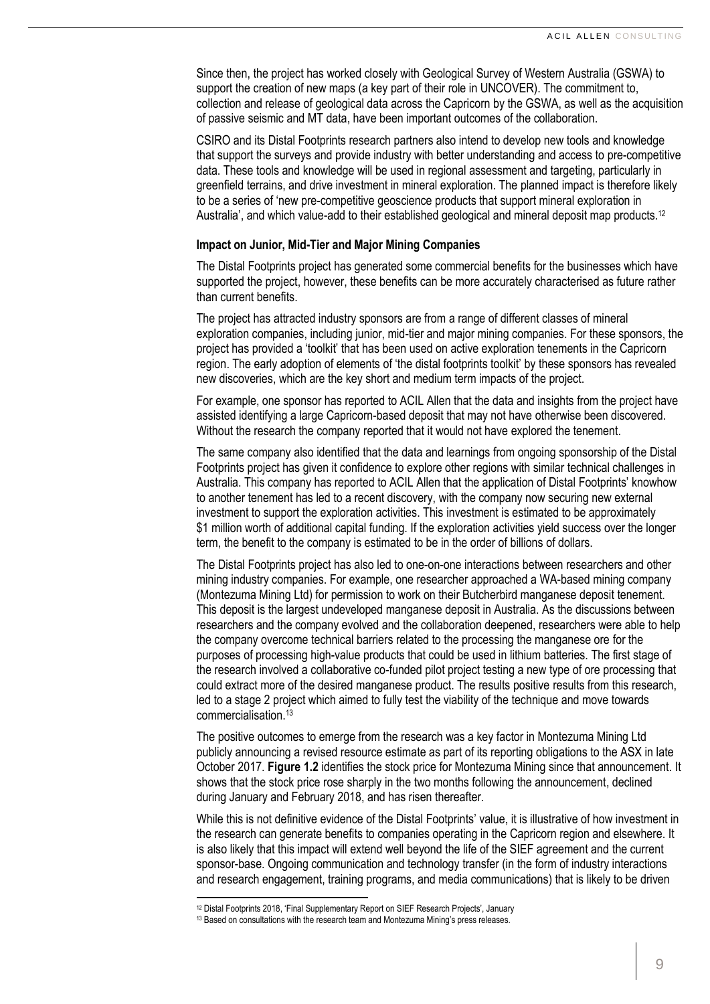Since then, the project has worked closely with Geological Survey of Western Australia (GSWA) to support the creation of new maps (a key part of their role in UNCOVER). The commitment to, collection and release of geological data across the Capricorn by the GSWA, as well as the acquisition of passive seismic and MT data, have been important outcomes of the collaboration.

CSIRO and its Distal Footprints research partners also intend to develop new tools and knowledge that support the surveys and provide industry with better understanding and access to pre-competitive data. These tools and knowledge will be used in regional assessment and targeting, particularly in greenfield terrains, and drive investment in mineral exploration. The planned impact is therefore likely to be a series of 'new pre-competitive geoscience products that support mineral exploration in Australia', and which value-add to their established geological and mineral deposit map products.<sup>12</sup>

# **Impact on Junior, Mid-Tier and Major Mining Companies**

The Distal Footprints project has generated some commercial benefits for the businesses which have supported the project, however, these benefits can be more accurately characterised as future rather than current benefits.

The project has attracted industry sponsors are from a range of different classes of mineral exploration companies, including junior, mid-tier and major mining companies. For these sponsors, the project has provided a 'toolkit' that has been used on active exploration tenements in the Capricorn region. The early adoption of elements of 'the distal footprints toolkit' by these sponsors has revealed new discoveries, which are the key short and medium term impacts of the project.

For example, one sponsor has reported to ACIL Allen that the data and insights from the project have assisted identifying a large Capricorn-based deposit that may not have otherwise been discovered. Without the research the company reported that it would not have explored the tenement.

The same company also identified that the data and learnings from ongoing sponsorship of the Distal Footprints project has given it confidence to explore other regions with similar technical challenges in Australia. This company has reported to ACIL Allen that the application of Distal Footprints' knowhow to another tenement has led to a recent discovery, with the company now securing new external investment to support the exploration activities. This investment is estimated to be approximately \$1 million worth of additional capital funding. If the exploration activities yield success over the longer term, the benefit to the company is estimated to be in the order of billions of dollars.

The Distal Footprints project has also led to one-on-one interactions between researchers and other mining industry companies. For example, one researcher approached a WA-based mining company (Montezuma Mining Ltd) for permission to work on their Butcherbird manganese deposit tenement. This deposit is the largest undeveloped manganese deposit in Australia. As the discussions between researchers and the company evolved and the collaboration deepened, researchers were able to help the company overcome technical barriers related to the processing the manganese ore for the purposes of processing high-value products that could be used in lithium batteries. The first stage of the research involved a collaborative co-funded pilot project testing a new type of ore processing that could extract more of the desired manganese product. The results positive results from this research, led to a stage 2 project which aimed to fully test the viability of the technique and move towards commercialisation.<sup>13</sup>

The positive outcomes to emerge from the research was a key factor in Montezuma Mining Ltd publicly announcing a revised resource estimate as part of its reporting obligations to the ASX in late October 2017. **[Figure](#page-9-0) 1.2** identifies the stock price for Montezuma Mining since that announcement. It shows that the stock price rose sharply in the two months following the announcement, declined during January and February 2018, and has risen thereafter.

While this is not definitive evidence of the Distal Footprints' value, it is illustrative of how investment in the research can generate benefits to companies operating in the Capricorn region and elsewhere. It is also likely that this impact will extend well beyond the life of the SIEF agreement and the current sponsor-base. Ongoing communication and technology transfer (in the form of industry interactions and research engagement, training programs, and media communications) that is likely to be driven

l

<sup>12</sup> Distal Footprints 2018, 'Final Supplementary Report on SIEF Research Projects', January

<sup>13</sup> Based on consultations with the research team and Montezuma Mining's press releases.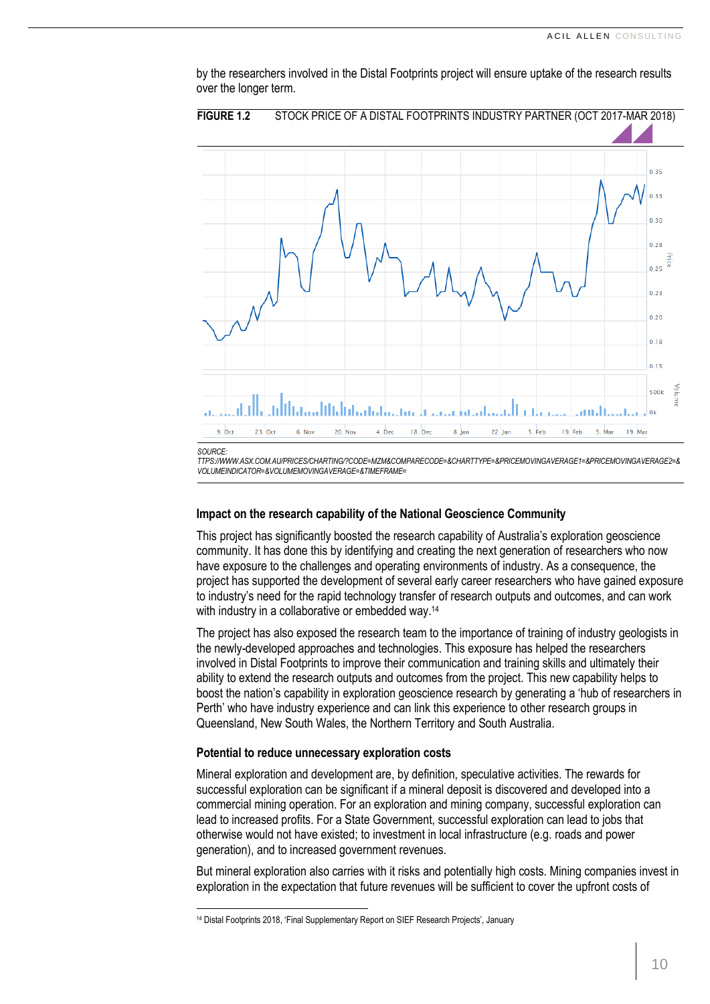<span id="page-9-0"></span>

by the researchers involved in the Distal Footprints project will ensure uptake of the research results over the longer term.

**Impact on the research capability of the National Geoscience Community**

This project has significantly boosted the research capability of Australia's exploration geoscience community. It has done this by identifying and creating the next generation of researchers who now have exposure to the challenges and operating environments of industry. As a consequence, the project has supported the development of several early career researchers who have gained exposure to industry's need for the rapid technology transfer of research outputs and outcomes, and can work with industry in a collaborative or embedded way.<sup>14</sup>

The project has also exposed the research team to the importance of training of industry geologists in the newly-developed approaches and technologies. This exposure has helped the researchers involved in Distal Footprints to improve their communication and training skills and ultimately their ability to extend the research outputs and outcomes from the project. This new capability helps to boost the nation's capability in exploration geoscience research by generating a 'hub of researchers in Perth' who have industry experience and can link this experience to other research groups in Queensland, New South Wales, the Northern Territory and South Australia.

#### **Potential to reduce unnecessary exploration costs**

 $\overline{\phantom{0}}$ 

Mineral exploration and development are, by definition, speculative activities. The rewards for successful exploration can be significant if a mineral deposit is discovered and developed into a commercial mining operation. For an exploration and mining company, successful exploration can lead to increased profits. For a State Government, successful exploration can lead to jobs that otherwise would not have existed; to investment in local infrastructure (e.g. roads and power generation), and to increased government revenues.

But mineral exploration also carries with it risks and potentially high costs. Mining companies invest in exploration in the expectation that future revenues will be sufficient to cover the upfront costs of

<sup>14</sup> Distal Footprints 2018, 'Final Supplementary Report on SIEF Research Projects', January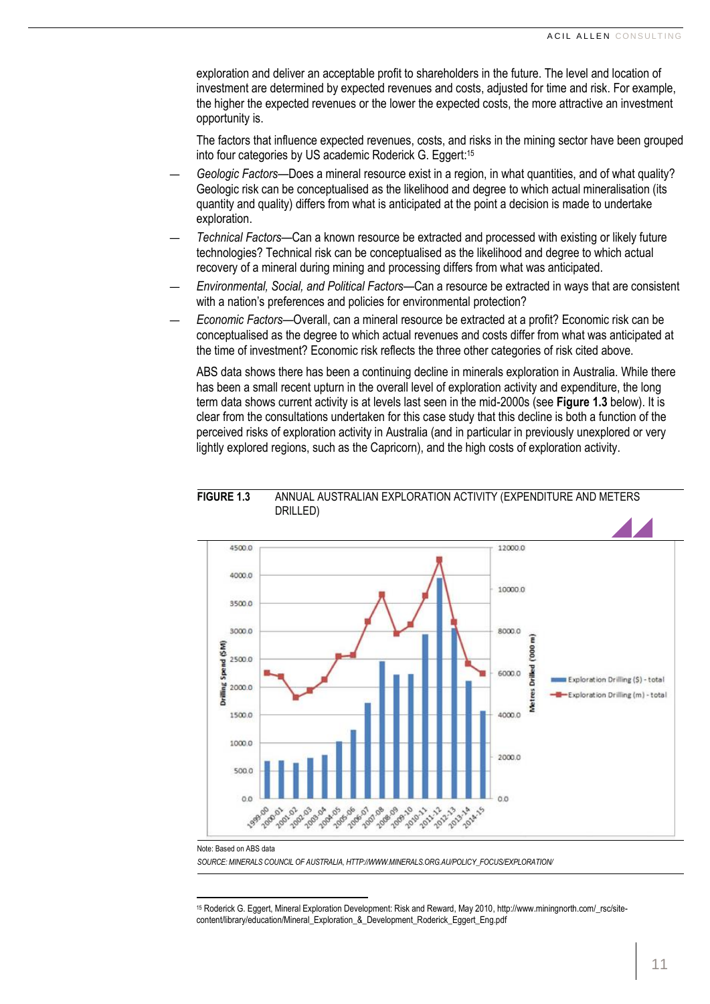exploration and deliver an acceptable profit to shareholders in the future. The level and location of investment are determined by expected revenues and costs, adjusted for time and risk. For example, the higher the expected revenues or the lower the expected costs, the more attractive an investment opportunity is.

The factors that influence expected revenues, costs, and risks in the mining sector have been grouped into four categories by US academic Roderick G. Eggert: 15

- *Geologic Factors*—Does a mineral resource exist in a region, in what quantities, and of what quality? Geologic risk can be conceptualised as the likelihood and degree to which actual mineralisation (its quantity and quality) differs from what is anticipated at the point a decision is made to undertake exploration.
- *Technical Factors*—Can a known resource be extracted and processed with existing or likely future technologies? Technical risk can be conceptualised as the likelihood and degree to which actual recovery of a mineral during mining and processing differs from what was anticipated.
- *Environmental, Social, and Political Factors*—Can a resource be extracted in ways that are consistent with a nation's preferences and policies for environmental protection?
- *Economic Factors*—Overall, can a mineral resource be extracted at a profit? Economic risk can be conceptualised as the degree to which actual revenues and costs differ from what was anticipated at the time of investment? Economic risk reflects the three other categories of risk cited above.

ABS data shows there has been a continuing decline in minerals exploration in Australia. While there has been a small recent upturn in the overall level of exploration activity and expenditure, the long term data shows current activity is at levels last seen in the mid-2000s (see **[Figure](#page-10-0) 1.3** below). It is clear from the consultations undertaken for this case study that this decline is both a function of the perceived risks of exploration activity in Australia (and in particular in previously unexplored or very lightly explored regions, such as the Capricorn), and the high costs of exploration activity.



# <span id="page-10-0"></span>**FIGURE 1.3** ANNUAL AUSTRALIAN EXPLORATION ACTIVITY (EXPENDITURE AND METERS DRILLED)

Note: Based on ABS data

*SOURCE: MINERALS COUNCIL OF AUSTRALIA, HTTP://WWW.MINERALS.ORG.AU/POLICY\_FOCUS/EXPLORATION/*

l <sup>15</sup> Roderick G. Eggert, Mineral Exploration Development: Risk and Reward, May 2010, http://www.miningnorth.com/\_rsc/sitecontent/library/education/Mineral\_Exploration\_&\_Development\_Roderick\_Eggert\_Eng.pdf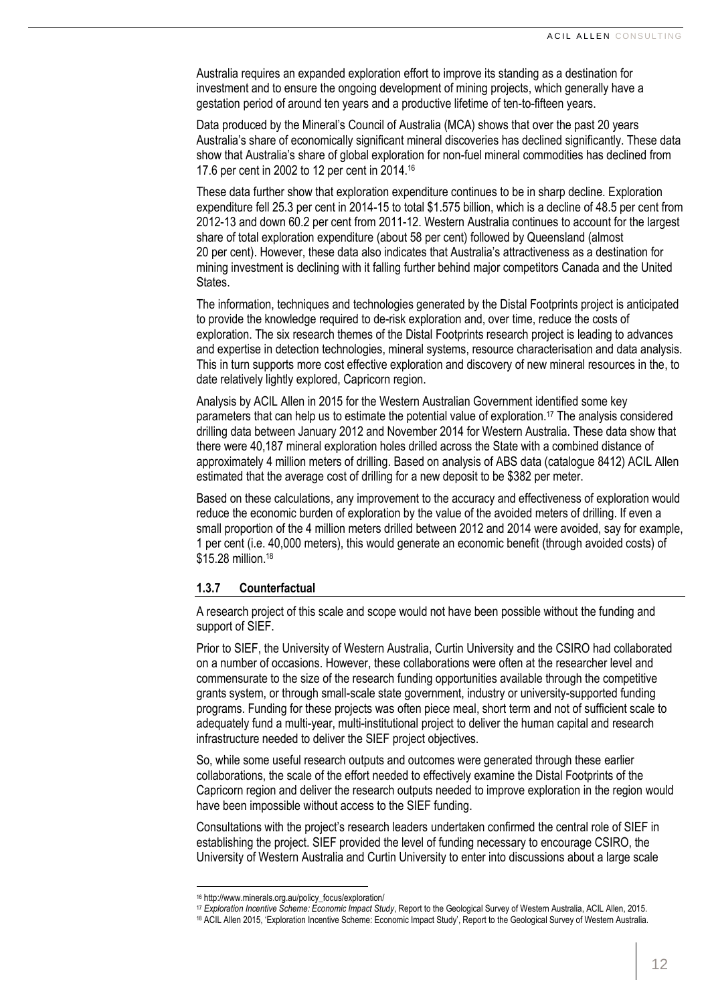Australia requires an expanded exploration effort to improve its standing as a destination for investment and to ensure the ongoing development of mining projects, which generally have a gestation period of around ten years and a productive lifetime of ten-to-fifteen years.

Data produced by the Mineral's Council of Australia (MCA) shows that over the past 20 years Australia's share of economically significant mineral discoveries has declined significantly. These data show that Australia's share of global exploration for non-fuel mineral commodities has declined from 17.6 per cent in 2002 to 12 per cent in 2014.<sup>16</sup>

These data further show that exploration expenditure continues to be in sharp decline. Exploration expenditure fell 25.3 per cent in 2014-15 to total \$1.575 billion, which is a decline of 48.5 per cent from 2012-13 and down 60.2 per cent from 2011-12. Western Australia continues to account for the largest share of total exploration expenditure (about 58 per cent) followed by Queensland (almost 20 per cent). However, these data also indicates that Australia's attractiveness as a destination for mining investment is declining with it falling further behind major competitors Canada and the United States.

The information, techniques and technologies generated by the Distal Footprints project is anticipated to provide the knowledge required to de-risk exploration and, over time, reduce the costs of exploration. The six research themes of the Distal Footprints research project is leading to advances and expertise in detection technologies, mineral systems, resource characterisation and data analysis. This in turn supports more cost effective exploration and discovery of new mineral resources in the, to date relatively lightly explored, Capricorn region.

Analysis by ACIL Allen in 2015 for the Western Australian Government identified some key parameters that can help us to estimate the potential value of exploration.<sup>17</sup> The analysis considered drilling data between January 2012 and November 2014 for Western Australia. These data show that there were 40,187 mineral exploration holes drilled across the State with a combined distance of approximately 4 million meters of drilling. Based on analysis of ABS data (catalogue 8412) ACIL Allen estimated that the average cost of drilling for a new deposit to be \$382 per meter.

Based on these calculations, any improvement to the accuracy and effectiveness of exploration would reduce the economic burden of exploration by the value of the avoided meters of drilling. If even a small proportion of the 4 million meters drilled between 2012 and 2014 were avoided, say for example, 1 per cent (i.e. 40,000 meters), this would generate an economic benefit (through avoided costs) of \$15.28 million. 18

# **1.3.7 Counterfactual**

A research project of this scale and scope would not have been possible without the funding and support of SIEF.

Prior to SIEF, the University of Western Australia, Curtin University and the CSIRO had collaborated on a number of occasions. However, these collaborations were often at the researcher level and commensurate to the size of the research funding opportunities available through the competitive grants system, or through small-scale state government, industry or university-supported funding programs. Funding for these projects was often piece meal, short term and not of sufficient scale to adequately fund a multi-year, multi-institutional project to deliver the human capital and research infrastructure needed to deliver the SIEF project objectives.

So, while some useful research outputs and outcomes were generated through these earlier collaborations, the scale of the effort needed to effectively examine the Distal Footprints of the Capricorn region and deliver the research outputs needed to improve exploration in the region would have been impossible without access to the SIEF funding.

Consultations with the project's research leaders undertaken confirmed the central role of SIEF in establishing the project. SIEF provided the level of funding necessary to encourage CSIRO, the University of Western Australia and Curtin University to enter into discussions about a large scale

 $\overline{\phantom{0}}$ 

<sup>16</sup> http://www.minerals.org.au/policy\_focus/exploration/

<sup>17</sup> *Exploration Incentive Scheme: Economic Impact Study*, Report to the Geological Survey of Western Australia, ACIL Allen, 2015.

<sup>18</sup> ACIL Allen 2015, 'Exploration Incentive Scheme: Economic Impact Study', Report to the Geological Survey of Western Australia.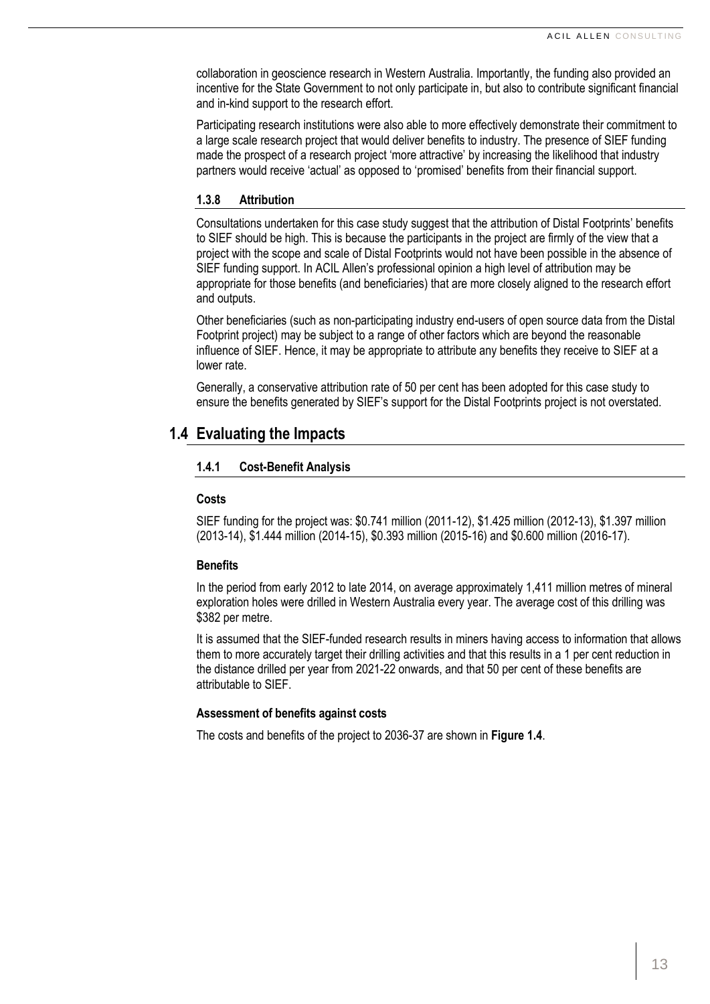collaboration in geoscience research in Western Australia. Importantly, the funding also provided an incentive for the State Government to not only participate in, but also to contribute significant financial and in-kind support to the research effort.

Participating research institutions were also able to more effectively demonstrate their commitment to a large scale research project that would deliver benefits to industry. The presence of SIEF funding made the prospect of a research project 'more attractive' by increasing the likelihood that industry partners would receive 'actual' as opposed to 'promised' benefits from their financial support.

# **1.3.8 Attribution**

Consultations undertaken for this case study suggest that the attribution of Distal Footprints' benefits to SIEF should be high. This is because the participants in the project are firmly of the view that a project with the scope and scale of Distal Footprints would not have been possible in the absence of SIEF funding support. In ACIL Allen's professional opinion a high level of attribution may be appropriate for those benefits (and beneficiaries) that are more closely aligned to the research effort and outputs.

Other beneficiaries (such as non-participating industry end-users of open source data from the Distal Footprint project) may be subject to a range of other factors which are beyond the reasonable influence of SIEF. Hence, it may be appropriate to attribute any benefits they receive to SIEF at a lower rate.

Generally, a conservative attribution rate of 50 per cent has been adopted for this case study to ensure the benefits generated by SIEF's support for the Distal Footprints project is not overstated.

# **1.4 Evaluating the Impacts**

# **1.4.1 Cost-Benefit Analysis**

# **Costs**

SIEF funding for the project was: \$0.741 million (2011-12), \$1.425 million (2012-13), \$1.397 million (2013-14), \$1.444 million (2014-15), \$0.393 million (2015-16) and \$0.600 million (2016-17).

# **Benefits**

In the period from early 2012 to late 2014, on average approximately 1,411 million metres of mineral exploration holes were drilled in Western Australia every year. The average cost of this drilling was \$382 per metre.

It is assumed that the SIEF-funded research results in miners having access to information that allows them to more accurately target their drilling activities and that this results in a 1 per cent reduction in the distance drilled per year from 2021-22 onwards, and that 50 per cent of these benefits are attributable to SIEF.

# **Assessment of benefits against costs**

The costs and benefits of the project to 2036-37 are shown in **[Figure](#page-13-0) 1.4**.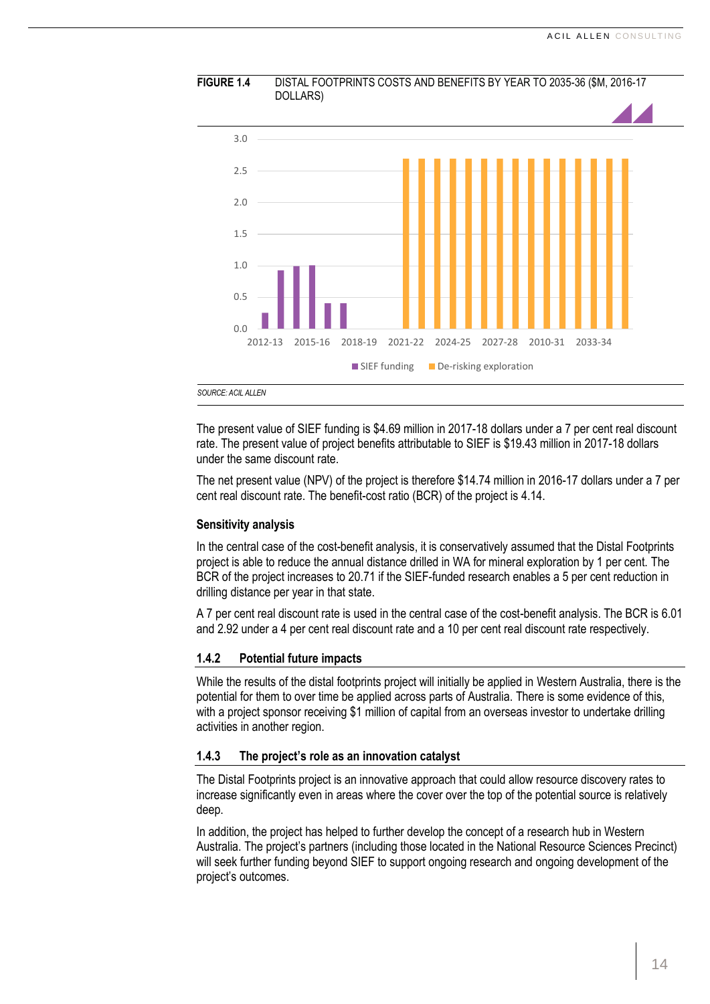

<span id="page-13-0"></span>**FIGURE 1.4** DISTAL FOOTPRINTS COSTS AND BENEFITS BY YEAR TO 2035-36 (\$M, 2016-17

The present value of SIEF funding is \$4.69 million in 2017-18 dollars under a 7 per cent real discount rate. The present value of project benefits attributable to SIEF is \$19.43 million in 2017-18 dollars under the same discount rate.

The net present value (NPV) of the project is therefore \$14.74 million in 2016-17 dollars under a 7 per cent real discount rate. The benefit-cost ratio (BCR) of the project is 4.14.

#### **Sensitivity analysis**

In the central case of the cost-benefit analysis, it is conservatively assumed that the Distal Footprints project is able to reduce the annual distance drilled in WA for mineral exploration by 1 per cent. The BCR of the project increases to 20.71 if the SIEF-funded research enables a 5 per cent reduction in drilling distance per year in that state.

A 7 per cent real discount rate is used in the central case of the cost-benefit analysis. The BCR is 6.01 and 2.92 under a 4 per cent real discount rate and a 10 per cent real discount rate respectively.

#### **1.4.2 Potential future impacts**

While the results of the distal footprints project will initially be applied in Western Australia, there is the potential for them to over time be applied across parts of Australia. There is some evidence of this, with a project sponsor receiving \$1 million of capital from an overseas investor to undertake drilling activities in another region.

# **1.4.3 The project's role as an innovation catalyst**

The Distal Footprints project is an innovative approach that could allow resource discovery rates to increase significantly even in areas where the cover over the top of the potential source is relatively deep.

In addition, the project has helped to further develop the concept of a research hub in Western Australia. The project's partners (including those located in the National Resource Sciences Precinct) will seek further funding beyond SIEF to support ongoing research and ongoing development of the project's outcomes.